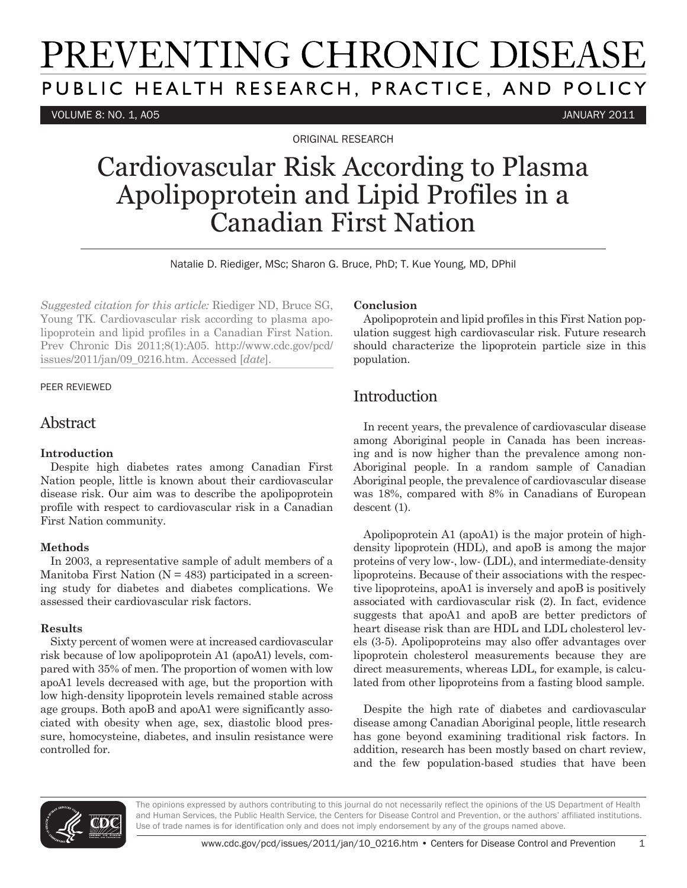# PREVENTING CHRONIC DISEASE PUBLIC HEALTH RESEARCH, PRACTICE, AND POLICY

VOLUME 8: NO. 1, A05 JANUARY 2011

ORIGINAL RESEARCH

## Cardiovascular Risk According to Plasma Apolipoprotein and Lipid Profiles in a Canadian First Nation

Natalie D. Riediger, MSc; Sharon G. Bruce, PhD; T. Kue Young, MD, DPhil

*Suggested citation for this article:* Riediger ND, Bruce SG, Young TK. Cardiovascular risk according to plasma apolipoprotein and lipid profiles in a Canadian First Nation. Prev Chronic Dis 2011;8(1):A05. http://www.cdc.gov/pcd/ issues/2011/jan/09\_0216.htm. Accessed [*date*].

#### PEER REVIEWED

## Abstract

#### **Introduction**

Despite high diabetes rates among Canadian First Nation people, little is known about their cardiovascular disease risk. Our aim was to describe the apolipoprotein profile with respect to cardiovascular risk in a Canadian First Nation community.

#### **Methods**

In 2003, a representative sample of adult members of a Manitoba First Nation  $(N = 483)$  participated in a screening study for diabetes and diabetes complications. We assessed their cardiovascular risk factors.

### **Results**

Sixty percent of women were at increased cardiovascular risk because of low apolipoprotein A1 (apoA1) levels, compared with 35% of men. The proportion of women with low apoA1 levels decreased with age, but the proportion with low high-density lipoprotein levels remained stable across age groups. Both apoB and apoA1 were significantly associated with obesity when age, sex, diastolic blood pressure, homocysteine, diabetes, and insulin resistance were controlled for.

#### **Conclusion**

Apolipoprotein and lipid profiles in this First Nation population suggest high cardiovascular risk. Future research should characterize the lipoprotein particle size in this population.

## **Introduction**

In recent years, the prevalence of cardiovascular disease among Aboriginal people in Canada has been increasing and is now higher than the prevalence among non-Aboriginal people. In a random sample of Canadian Aboriginal people, the prevalence of cardiovascular disease was 18%, compared with 8% in Canadians of European descent (1).

Apolipoprotein A1 (apoA1) is the major protein of highdensity lipoprotein (HDL), and apoB is among the major proteins of very low-, low- (LDL), and intermediate-density lipoproteins. Because of their associations with the respective lipoproteins, apoA1 is inversely and apoB is positively associated with cardiovascular risk (2). In fact, evidence suggests that apoA1 and apoB are better predictors of heart disease risk than are HDL and LDL cholesterol levels (3-5). Apolipoproteins may also offer advantages over lipoprotein cholesterol measurements because they are direct measurements, whereas LDL, for example, is calculated from other lipoproteins from a fasting blood sample.

Despite the high rate of diabetes and cardiovascular disease among Canadian Aboriginal people, little research has gone beyond examining traditional risk factors. In addition, research has been mostly based on chart review, and the few population-based studies that have been

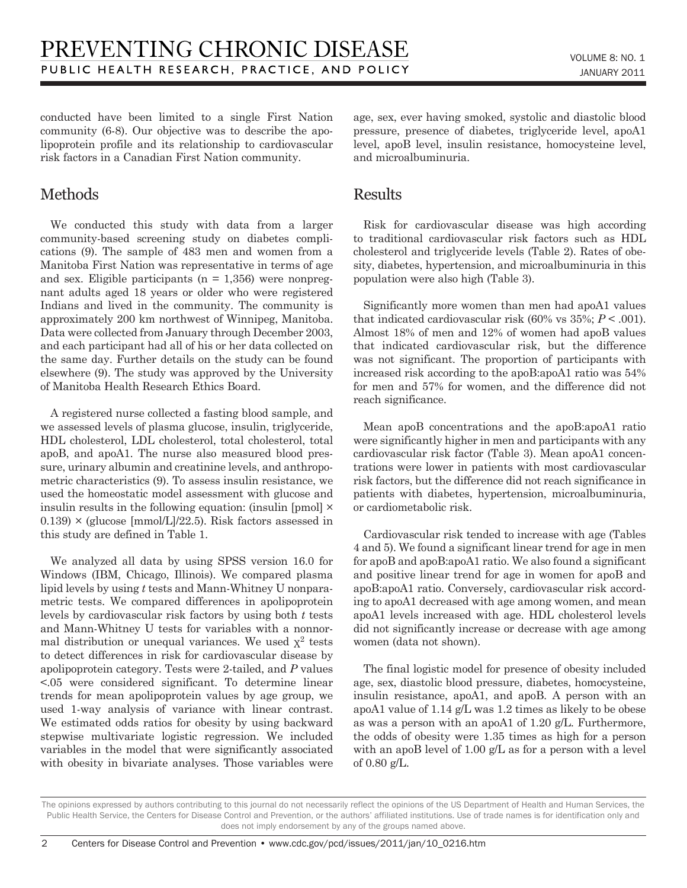conducted have been limited to a single First Nation community (6-8). Our objective was to describe the apolipoprotein profile and its relationship to cardiovascular risk factors in a Canadian First Nation community.

## Methods

We conducted this study with data from a larger community-based screening study on diabetes complications (9). The sample of 483 men and women from a Manitoba First Nation was representative in terms of age and sex. Eligible participants ( $n = 1,356$ ) were nonpregnant adults aged 18 years or older who were registered Indians and lived in the community. The community is approximately 200 km northwest of Winnipeg, Manitoba. Data were collected from January through December 2003, and each participant had all of his or her data collected on the same day. Further details on the study can be found elsewhere (9). The study was approved by the University of Manitoba Health Research Ethics Board.

A registered nurse collected a fasting blood sample, and we assessed levels of plasma glucose, insulin, triglyceride, HDL cholesterol, LDL cholesterol, total cholesterol, total apoB, and apoA1. The nurse also measured blood pressure, urinary albumin and creatinine levels, and anthropometric characteristics (9). To assess insulin resistance, we used the homeostatic model assessment with glucose and insulin results in the following equation: (insulin [pmol] ×  $(0.139) \times (glucose [mmol/L]/22.5)$ . Risk factors assessed in this study are defined in Table 1.

We analyzed all data by using SPSS version 16.0 for Windows (IBM, Chicago, Illinois). We compared plasma lipid levels by using *t* tests and Mann-Whitney U nonparametric tests. We compared differences in apolipoprotein levels by cardiovascular risk factors by using both *t* tests and Mann-Whitney U tests for variables with a nonnormal distribution or unequal variances. We used  $\chi^2$  tests to detect differences in risk for cardiovascular disease by apolipoprotein category. Tests were 2-tailed, and *P* values <.05 were considered significant. To determine linear trends for mean apolipoprotein values by age group, we used 1-way analysis of variance with linear contrast. We estimated odds ratios for obesity by using backward stepwise multivariate logistic regression. We included variables in the model that were significantly associated with obesity in bivariate analyses. Those variables were age, sex, ever having smoked, systolic and diastolic blood pressure, presence of diabetes, triglyceride level, apoA1 level, apoB level, insulin resistance, homocysteine level, and microalbuminuria.

## Results

Risk for cardiovascular disease was high according to traditional cardiovascular risk factors such as HDL cholesterol and triglyceride levels (Table 2). Rates of obesity, diabetes, hypertension, and microalbuminuria in this population were also high (Table 3).

Significantly more women than men had apoA1 values that indicated cardiovascular risk  $(60\% \text{ vs } 35\%; P < .001)$ . Almost 18% of men and 12% of women had apoB values that indicated cardiovascular risk, but the difference was not significant. The proportion of participants with increased risk according to the apoB:apoA1 ratio was 54% for men and 57% for women, and the difference did not reach significance.

Mean apoB concentrations and the apoB:apoA1 ratio were significantly higher in men and participants with any cardiovascular risk factor (Table 3). Mean apoA1 concentrations were lower in patients with most cardiovascular risk factors, but the difference did not reach significance in patients with diabetes, hypertension, microalbuminuria, or cardiometabolic risk.

Cardiovascular risk tended to increase with age (Tables 4 and 5). We found a significant linear trend for age in men for apoB and apoB:apoA1 ratio. We also found a significant and positive linear trend for age in women for apoB and apoB:apoA1 ratio. Conversely, cardiovascular risk according to apoA1 decreased with age among women, and mean apoA1 levels increased with age. HDL cholesterol levels did not significantly increase or decrease with age among women (data not shown).

The final logistic model for presence of obesity included age, sex, diastolic blood pressure, diabetes, homocysteine, insulin resistance, apoA1, and apoB. A person with an apoA1 value of 1.14 g/L was 1.2 times as likely to be obese as was a person with an apoA1 of 1.20 g/L. Furthermore, the odds of obesity were 1.35 times as high for a person with an apoB level of 1.00 g/L as for a person with a level of 0.80 g/L.

The opinions expressed by authors contributing to this journal do not necessarily reflect the opinions of the US Department of Health and Human Services, the Public Health Service, the Centers for Disease Control and Prevention, or the authors' affiliated institutions. Use of trade names is for identification only and does not imply endorsement by any of the groups named above.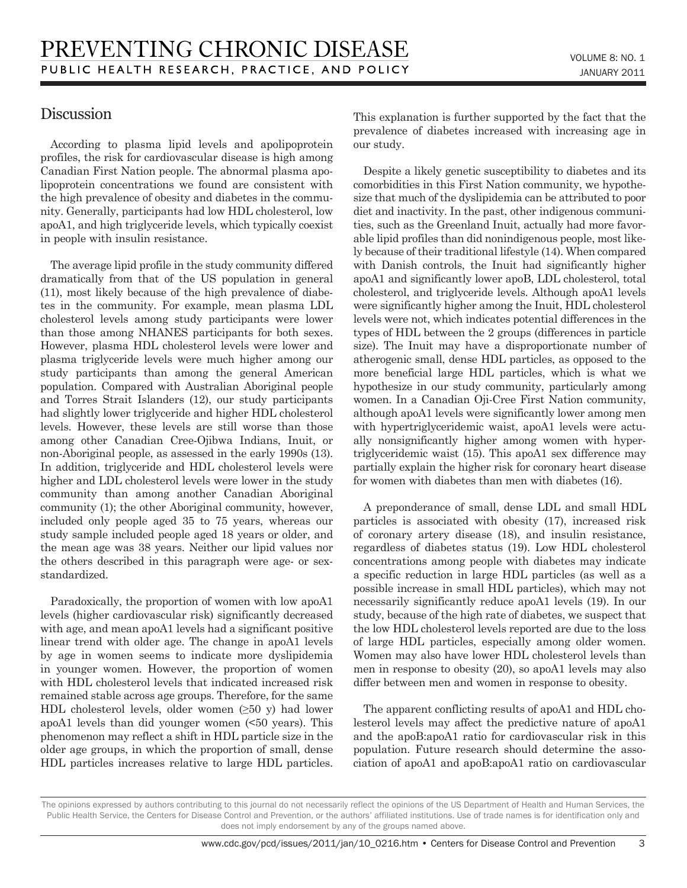## **Discussion**

According to plasma lipid levels and apolipoprotein profiles, the risk for cardiovascular disease is high among Canadian First Nation people. The abnormal plasma apolipoprotein concentrations we found are consistent with the high prevalence of obesity and diabetes in the community. Generally, participants had low HDL cholesterol, low apoA1, and high triglyceride levels, which typically coexist in people with insulin resistance.

The average lipid profile in the study community differed dramatically from that of the US population in general (11), most likely because of the high prevalence of diabetes in the community. For example, mean plasma LDL cholesterol levels among study participants were lower than those among NHANES participants for both sexes. However, plasma HDL cholesterol levels were lower and plasma triglyceride levels were much higher among our study participants than among the general American population. Compared with Australian Aboriginal people and Torres Strait Islanders (12), our study participants had slightly lower triglyceride and higher HDL cholesterol levels. However, these levels are still worse than those among other Canadian Cree-Ojibwa Indians, Inuit, or non-Aboriginal people, as assessed in the early 1990s (13). In addition, triglyceride and HDL cholesterol levels were higher and LDL cholesterol levels were lower in the study community than among another Canadian Aboriginal community (1); the other Aboriginal community, however, included only people aged 35 to 75 years, whereas our study sample included people aged 18 years or older, and the mean age was 38 years. Neither our lipid values nor the others described in this paragraph were age- or sexstandardized.

Paradoxically, the proportion of women with low apoA1 levels (higher cardiovascular risk) significantly decreased with age, and mean apoA1 levels had a significant positive linear trend with older age. The change in apoA1 levels by age in women seems to indicate more dyslipidemia in younger women. However, the proportion of women with HDL cholesterol levels that indicated increased risk remained stable across age groups. Therefore, for the same HDL cholesterol levels, older women  $(≥50 y)$  had lower apoA1 levels than did younger women (<50 years). This phenomenon may reflect a shift in HDL particle size in the older age groups, in which the proportion of small, dense HDL particles increases relative to large HDL particles. This explanation is further supported by the fact that the prevalence of diabetes increased with increasing age in our study.

Despite a likely genetic susceptibility to diabetes and its comorbidities in this First Nation community, we hypothesize that much of the dyslipidemia can be attributed to poor diet and inactivity. In the past, other indigenous communities, such as the Greenland Inuit, actually had more favorable lipid profiles than did nonindigenous people, most likely because of their traditional lifestyle (14). When compared with Danish controls, the Inuit had significantly higher apoA1 and significantly lower apoB, LDL cholesterol, total cholesterol, and triglyceride levels. Although apoA1 levels were significantly higher among the Inuit, HDL cholesterol levels were not, which indicates potential differences in the types of HDL between the 2 groups (differences in particle size). The Inuit may have a disproportionate number of atherogenic small, dense HDL particles, as opposed to the more beneficial large HDL particles, which is what we hypothesize in our study community, particularly among women. In a Canadian Oji-Cree First Nation community, although apoA1 levels were significantly lower among men with hypertriglyceridemic waist, apoA1 levels were actually nonsignificantly higher among women with hypertriglyceridemic waist (15). This apoA1 sex difference may partially explain the higher risk for coronary heart disease for women with diabetes than men with diabetes (16).

A preponderance of small, dense LDL and small HDL particles is associated with obesity (17), increased risk of coronary artery disease (18), and insulin resistance, regardless of diabetes status (19). Low HDL cholesterol concentrations among people with diabetes may indicate a specific reduction in large HDL particles (as well as a possible increase in small HDL particles), which may not necessarily significantly reduce apoA1 levels (19). In our study, because of the high rate of diabetes, we suspect that the low HDL cholesterol levels reported are due to the loss of large HDL particles, especially among older women. Women may also have lower HDL cholesterol levels than men in response to obesity (20), so apoA1 levels may also differ between men and women in response to obesity.

The apparent conflicting results of apoA1 and HDL cholesterol levels may affect the predictive nature of apoA1 and the apoB:apoA1 ratio for cardiovascular risk in this population. Future research should determine the association of apoA1 and apoB:apoA1 ratio on cardiovascular

The opinions expressed by authors contributing to this journal do not necessarily reflect the opinions of the US Department of Health and Human Services, the Public Health Service, the Centers for Disease Control and Prevention, or the authors' affiliated institutions. Use of trade names is for identification only and does not imply endorsement by any of the groups named above.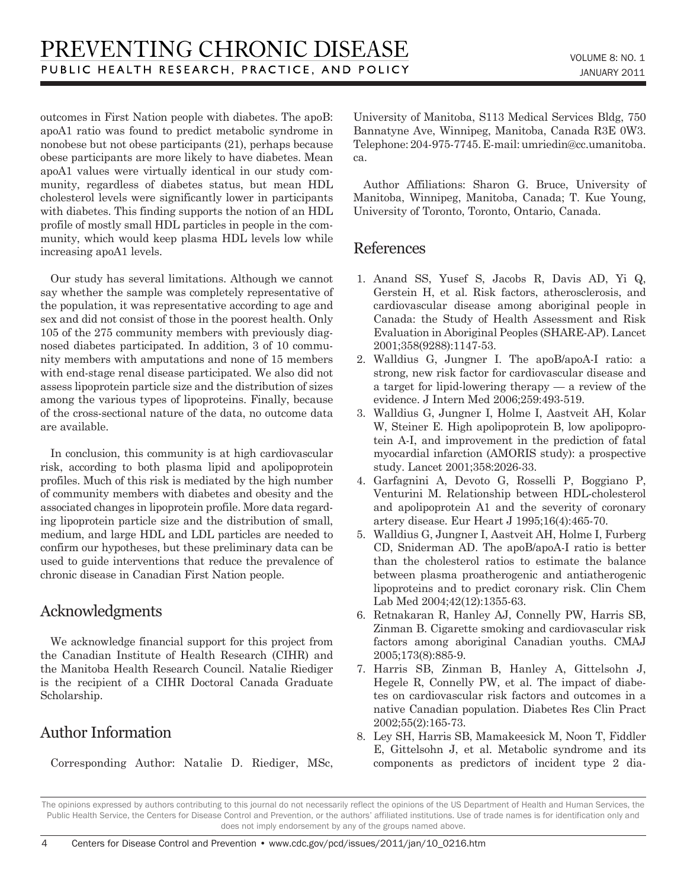outcomes in First Nation people with diabetes. The apoB: apoA1 ratio was found to predict metabolic syndrome in nonobese but not obese participants (21), perhaps because obese participants are more likely to have diabetes. Mean apoA1 values were virtually identical in our study community, regardless of diabetes status, but mean HDL cholesterol levels were significantly lower in participants with diabetes. This finding supports the notion of an HDL profile of mostly small HDL particles in people in the community, which would keep plasma HDL levels low while increasing apoA1 levels.

Our study has several limitations. Although we cannot say whether the sample was completely representative of the population, it was representative according to age and sex and did not consist of those in the poorest health. Only 105 of the 275 community members with previously diagnosed diabetes participated. In addition, 3 of 10 community members with amputations and none of 15 members with end-stage renal disease participated. We also did not assess lipoprotein particle size and the distribution of sizes among the various types of lipoproteins. Finally, because of the cross-sectional nature of the data, no outcome data are available.

In conclusion, this community is at high cardiovascular risk, according to both plasma lipid and apolipoprotein profiles. Much of this risk is mediated by the high number of community members with diabetes and obesity and the associated changes in lipoprotein profile. More data regarding lipoprotein particle size and the distribution of small, medium, and large HDL and LDL particles are needed to confirm our hypotheses, but these preliminary data can be used to guide interventions that reduce the prevalence of chronic disease in Canadian First Nation people.

## Acknowledgments

We acknowledge financial support for this project from the Canadian Institute of Health Research (CIHR) and the Manitoba Health Research Council. Natalie Riediger is the recipient of a CIHR Doctoral Canada Graduate Scholarship.

## Author Information

Corresponding Author: Natalie D. Riediger, MSc,

University of Manitoba, S113 Medical Services Bldg, 750 Bannatyne Ave, Winnipeg, Manitoba, Canada R3E 0W3. Telephone: 204-975-7745. E-mail: umriedin@cc.umanitoba. ca.

Author Affiliations: Sharon G. Bruce, University of Manitoba, Winnipeg, Manitoba, Canada; T. Kue Young, University of Toronto, Toronto, Ontario, Canada.

## References

- 1. Anand SS, Yusef S, Jacobs R, Davis AD, Yi Q, Gerstein H, et al. Risk factors, atherosclerosis, and cardiovascular disease among aboriginal people in Canada: the Study of Health Assessment and Risk Evaluation in Aboriginal Peoples (SHARE-AP). Lancet 2001;358(9288):1147-53.
- 2. Walldius G, Jungner I. The apoB/apoA-I ratio: a strong, new risk factor for cardiovascular disease and a target for lipid-lowering therapy — a review of the evidence. J Intern Med 2006;259:493-519.
- 3. Walldius G, Jungner I, Holme I, Aastveit AH, Kolar W, Steiner E. High apolipoprotein B, low apolipoprotein A-I, and improvement in the prediction of fatal myocardial infarction (AMORIS study): a prospective study. Lancet 2001;358:2026-33.
- 4. Garfagnini A, Devoto G, Rosselli P, Boggiano P, Venturini M. Relationship between HDL-cholesterol and apolipoprotein A1 and the severity of coronary artery disease. Eur Heart J 1995;16(4):465-70.
- 5. Walldius G, Jungner I, Aastveit AH, Holme I, Furberg CD, Sniderman AD. The apoB/apoA-I ratio is better than the cholesterol ratios to estimate the balance between plasma proatherogenic and antiatherogenic lipoproteins and to predict coronary risk. Clin Chem Lab Med 2004;42(12):1355-63.
- 6. Retnakaran R, Hanley AJ, Connelly PW, Harris SB, Zinman B. Cigarette smoking and cardiovascular risk factors among aboriginal Canadian youths. CMAJ 2005;173(8):885-9.
- 7. Harris SB, Zinman B, Hanley A, Gittelsohn J, Hegele R, Connelly PW, et al. The impact of diabetes on cardiovascular risk factors and outcomes in a native Canadian population. Diabetes Res Clin Pract 2002;55(2):165-73.
- 8. Ley SH, Harris SB, Mamakeesick M, Noon T, Fiddler E, Gittelsohn J, et al. Metabolic syndrome and its components as predictors of incident type 2 dia-

The opinions expressed by authors contributing to this journal do not necessarily reflect the opinions of the US Department of Health and Human Services, the Public Health Service, the Centers for Disease Control and Prevention, or the authors' affiliated institutions. Use of trade names is for identification only and does not imply endorsement by any of the groups named above.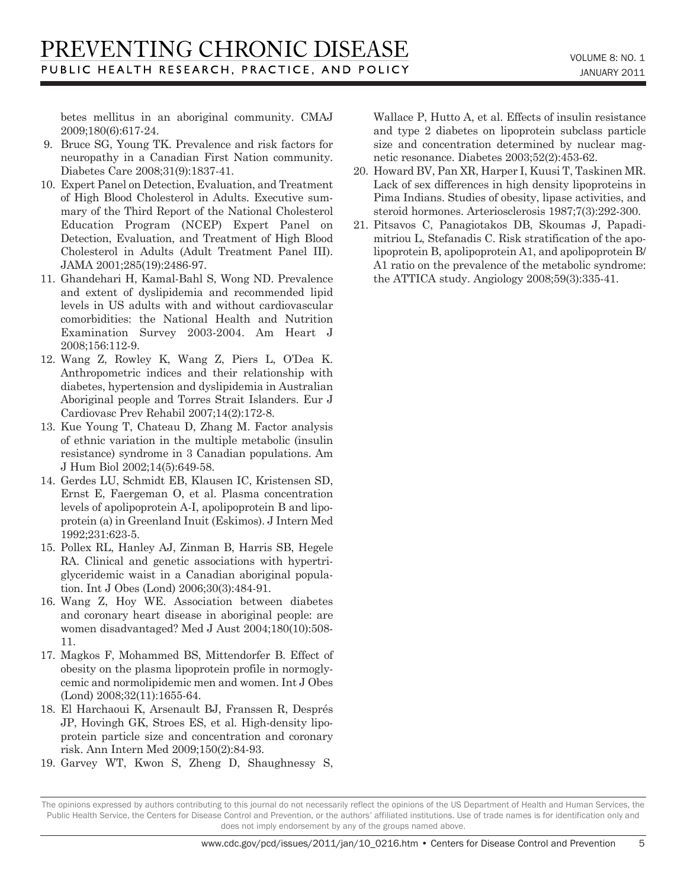betes mellitus in an aboriginal community. CMAJ 2009;180(6):617-24.

- 9. Bruce SG, Young TK. Prevalence and risk factors for neuropathy in a Canadian First Nation community. Diabetes Care 2008;31(9):1837-41.
- 10. Expert Panel on Detection, Evaluation, and Treatment of High Blood Cholesterol in Adults. Executive summary of the Third Report of the National Cholesterol Education Program (NCEP) Expert Panel on Detection, Evaluation, and Treatment of High Blood Cholesterol in Adults (Adult Treatment Panel III). JAMA 2001;285(19):2486-97.
- 11. Ghandehari H, Kamal-Bahl S, Wong ND. Prevalence and extent of dyslipidemia and recommended lipid levels in US adults with and without cardiovascular comorbidities: the National Health and Nutrition Examination Survey 2003-2004. Am Heart J 2008;156:112-9.
- 12. Wang Z, Rowley K, Wang Z, Piers L, O'Dea K. Anthropometric indices and their relationship with diabetes, hypertension and dyslipidemia in Australian Aboriginal people and Torres Strait Islanders. Eur J Cardiovasc Prev Rehabil 2007;14(2):172-8.
- 13. Kue Young T, Chateau D, Zhang M. Factor analysis of ethnic variation in the multiple metabolic (insulin resistance) syndrome in 3 Canadian populations. Am J Hum Biol 2002;14(5):649-58.
- 14. Gerdes LU, Schmidt EB, Klausen IC, Kristensen SD, Ernst E, Faergeman O, et al. Plasma concentration levels of apolipoprotein A-I, apolipoprotein B and lipoprotein (a) in Greenland Inuit (Eskimos). J Intern Med 1992;231:623-5.
- 15. Pollex RL, Hanley AJ, Zinman B, Harris SB, Hegele RA. Clinical and genetic associations with hypertriglyceridemic waist in a Canadian aboriginal population. Int J Obes (Lond) 2006;30(3):484-91.
- 16. Wang Z, Hoy WE. Association between diabetes and coronary heart disease in aboriginal people: are women disadvantaged? Med J Aust 2004;180(10):508- 11.
- 17. Magkos F, Mohammed BS, Mittendorfer B. Effect of obesity on the plasma lipoprotein profile in normoglycemic and normolipidemic men and women. Int J Obes (Lond) 2008;32(11):1655-64.
- 18. El Harchaoui K, Arsenault BJ, Franssen R, Després JP, Hovingh GK, Stroes ES, et al. High-density lipoprotein particle size and concentration and coronary risk. Ann Intern Med 2009;150(2):84-93.
- 19. Garvey WT, Kwon S, Zheng D, Shaughnessy S,

Wallace P, Hutto A, et al. Effects of insulin resistance and type 2 diabetes on lipoprotein subclass particle size and concentration determined by nuclear magnetic resonance. Diabetes 2003;52(2):453-62.

- 20. Howard BV, Pan XR, Harper I, Kuusi T, Taskinen MR. Lack of sex differences in high density lipoproteins in Pima Indians. Studies of obesity, lipase activities, and steroid hormones. Arteriosclerosis 1987;7(3):292-300.
- 21. Pitsavos C, Panagiotakos DB, Skoumas J, Papadimitriou L, Stefanadis C. Risk stratification of the apolipoprotein B, apolipoprotein A1, and apolipoprotein B/ A1 ratio on the prevalence of the metabolic syndrome: the ATTICA study. Angiology 2008;59(3):335-41.

The opinions expressed by authors contributing to this journal do not necessarily reflect the opinions of the US Department of Health and Human Services, the Public Health Service, the Centers for Disease Control and Prevention, or the authors' affiliated institutions. Use of trade names is for identification only and does not imply endorsement by any of the groups named above.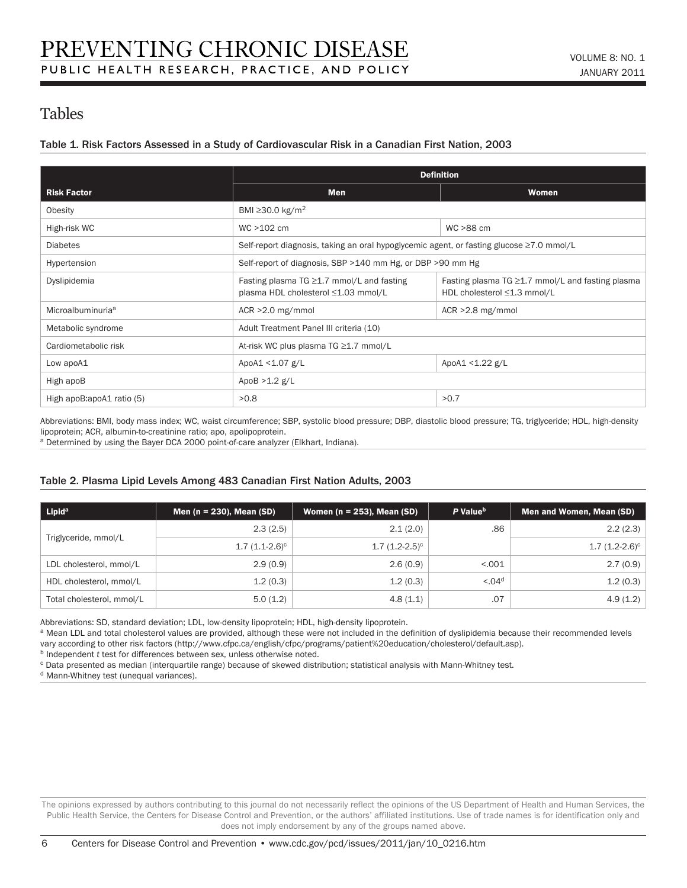## Tables

#### Table 1. Risk Factors Assessed in a Study of Cardiovascular Risk in a Canadian First Nation, 2003

|                               | <b>Definition</b>                                                                        |                                                                                       |  |  |  |
|-------------------------------|------------------------------------------------------------------------------------------|---------------------------------------------------------------------------------------|--|--|--|
| <b>Risk Factor</b>            | <b>Men</b>                                                                               | <b>Women</b>                                                                          |  |  |  |
| Obesity                       | BMI $\geq$ 30.0 kg/m <sup>2</sup>                                                        |                                                                                       |  |  |  |
| High-risk WC                  | $WC > 102$ cm                                                                            | WC >88 cm                                                                             |  |  |  |
| <b>Diabetes</b>               | Self-report diagnosis, taking an oral hypoglycemic agent, or fasting glucose ≥7.0 mmol/L |                                                                                       |  |  |  |
| Hypertension                  | Self-report of diagnosis, SBP >140 mm Hg, or DBP >90 mm Hg                               |                                                                                       |  |  |  |
| Dyslipidemia                  | Fasting plasma TG $\geq$ 1.7 mmol/L and fasting<br>plasma HDL cholesterol ≤1.03 mmol/L   | Fasting plasma $TG \geq 1.7$ mmol/L and fasting plasma<br>HDL cholesterol ≤1.3 mmol/L |  |  |  |
| Microalbuminuria <sup>a</sup> | $ACR > 2.0$ mg/mmol                                                                      | $ACR > 2.8$ mg/mmol                                                                   |  |  |  |
| Metabolic syndrome            | Adult Treatment Panel III criteria (10)                                                  |                                                                                       |  |  |  |
| Cardiometabolic risk          | At-risk WC plus plasma TG ≥1.7 mmol/L                                                    |                                                                                       |  |  |  |
| Low apoA1                     | ApoA1 <1.07 g/L                                                                          | ApoA1 < 1.22 g/L                                                                      |  |  |  |
| High apoB                     | ApoB $>1.2$ g/L                                                                          |                                                                                       |  |  |  |
| High apoB:apoA1 ratio (5)     | >0.8                                                                                     | >0.7                                                                                  |  |  |  |

Abbreviations: BMI, body mass index; WC, waist circumference; SBP, systolic blood pressure; DBP, diastolic blood pressure; TG, triglyceride; HDL, high-density lipoprotein; ACR, albumin-to-creatinine ratio; apo, apolipoprotein.

a Determined by using the Bayer DCA 2000 point-of-care analyzer (Elkhart, Indiana).

#### Table 2. Plasma Lipid Levels Among 483 Canadian First Nation Adults, 2003

| Lipid <sup>a</sup>        | Men ( $n = 230$ ), Mean (SD) | Women ( $n = 253$ ), Mean (SD) | P Value <sup>b</sup> | Men and Women, Mean (SD) |
|---------------------------|------------------------------|--------------------------------|----------------------|--------------------------|
|                           | 2.3(2.5)                     | 2.1(2.0)                       | .86                  | 2.2(2.3)                 |
| Triglyceride, mmol/L      | $1.7(1.1-2.6)^c$             | $1.7(1.2-2.5)^c$               |                      | $1.7(1.2-2.6)^c$         |
| LDL cholesterol, mmol/L   | 2.9(0.9)                     | 2.6(0.9)                       | < 0.001              | 2.7(0.9)                 |
| HDL cholesterol, mmol/L   | 1.2(0.3)                     | 1.2(0.3)                       | < 0.04 <sup>d</sup>  | 1.2(0.3)                 |
| Total cholesterol, mmol/L | 5.0(1.2)                     | 4.8(1.1)                       | .07                  | 4.9(1.2)                 |

Abbreviations: SD, standard deviation; LDL, low-density lipoprotein; HDL, high-density lipoprotein.

a Mean LDL and total cholesterol values are provided, although these were not included in the definition of dyslipidemia because their recommended levels vary according to other risk factors (http://www.cfpc.ca/english/cfpc/programs/patient%20education/cholesterol/default.asp).

b Independent *t* test for differences between sex, unless otherwise noted.

c Data presented as median (interquartile range) because of skewed distribution; statistical analysis with Mann-Whitney test.

d Mann-Whitney test (unequal variances).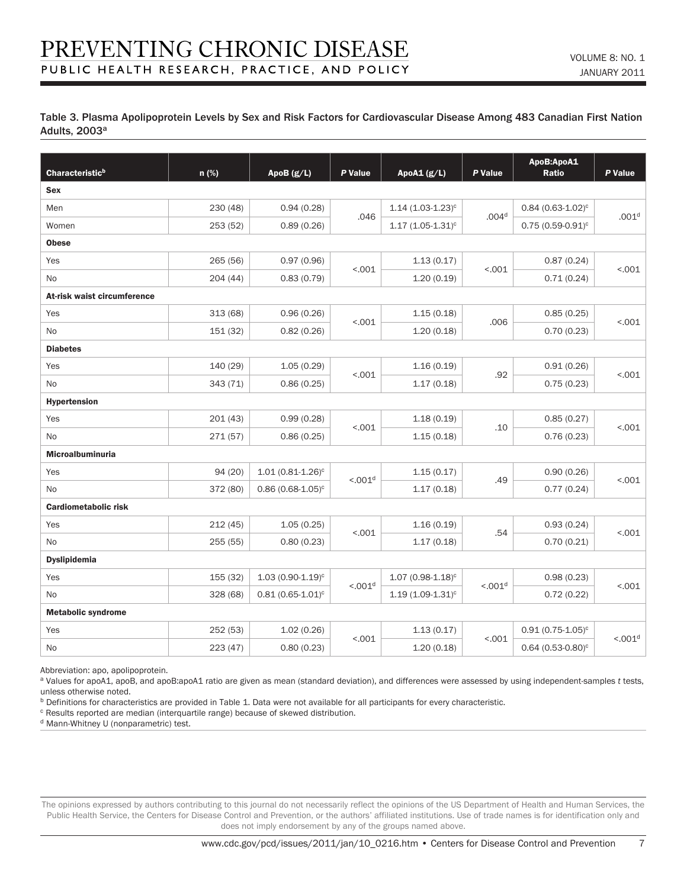$\overline{7}$ 

#### Table 3. Plasma Apolipoprotein Levels by Sex and Risk Factors for Cardiovascular Disease Among 483 Canadian First Nation Adults, 2003<sup>a</sup>

| Characteristic <sup>b</sup> | n (%)    | ApoB (g/L)            | P Value             | ApoA1 (g/L)                        | P Value              | ApoB:ApoA1<br>Ratio   | P Value             |  |
|-----------------------------|----------|-----------------------|---------------------|------------------------------------|----------------------|-----------------------|---------------------|--|
| <b>Sex</b>                  |          |                       |                     |                                    |                      |                       |                     |  |
| Men                         | 230 (48) | 0.94(0.28)            | .046                | $1.14(1.03-1.23)^c$                | .004 <sup>d</sup>    | $0.84(0.63 - 1.02)^c$ | .001 <sup>d</sup>   |  |
| Women                       | 253 (52) | 0.89(0.26)            |                     | $1.17(1.05-1.31)^c$                |                      | $0.75(0.59-0.91)^c$   |                     |  |
| <b>Obese</b>                |          |                       |                     |                                    |                      |                       |                     |  |
| Yes                         | 265(56)  | 0.97(0.96)            |                     | 1.13(0.17)<br>< .001<br>1.20(0.19) | < .001               | 0.87(0.24)            | < .001              |  |
| <b>No</b>                   | 204(44)  | 0.83(0.79)            |                     |                                    |                      | 0.71(0.24)            |                     |  |
| At-risk waist circumference |          |                       |                     |                                    |                      |                       |                     |  |
| Yes                         | 313 (68) | 0.96(0.26)            | < .001              | 1.15(0.18)                         | .006                 | 0.85(0.25)            | < .001              |  |
| <b>No</b>                   | 151 (32) | 0.82(0.26)            |                     | 1.20(0.18)                         |                      | 0.70(0.23)            |                     |  |
| <b>Diabetes</b>             |          |                       |                     |                                    |                      |                       |                     |  |
| Yes                         | 140 (29) | 1.05(0.29)            | < .001              | 1.16(0.19)                         | .92                  | 0.91(0.26)            | < .001              |  |
| No                          | 343 (71) | 0.86(0.25)            |                     | 1.17(0.18)                         |                      | 0.75(0.23)            |                     |  |
| Hypertension                |          |                       |                     |                                    |                      |                       |                     |  |
| Yes                         | 201(43)  | 0.99(0.28)            | < .001              | 1.18(0.19)                         | .10                  | 0.85(0.27)            | < .001              |  |
| No                          | 271 (57) | 0.86(0.25)            |                     | 1.15(0.18)                         |                      | 0.76(0.23)            |                     |  |
| Microalbuminuria            |          |                       |                     |                                    |                      |                       |                     |  |
| Yes                         | 94(20)   | $1.01(0.81 - 1.26)^c$ | < 0.01 <sup>d</sup> | 1.15(0.17)                         | .49                  | 0.90(0.26)            | < .001              |  |
| <b>No</b>                   | 372 (80) | $0.86(0.68 - 1.05)^c$ |                     | 1.17(0.18)                         |                      | 0.77(0.24)            |                     |  |
| <b>Cardiometabolic risk</b> |          |                       |                     |                                    |                      |                       |                     |  |
| Yes                         | 212(45)  | 1.05(0.25)            | < .001              | 1.16(0.19)                         | .54                  | 0.93(0.24)            | < .001              |  |
| No                          | 255 (55) | 0.80(0.23)            |                     | 1.17(0.18)                         |                      | 0.70(0.21)            |                     |  |
| <b>Dyslipidemia</b>         |          |                       |                     |                                    |                      |                       |                     |  |
| Yes                         | 155 (32) | $1.03(0.90-1.19)^c$   | < 0.01 <sup>d</sup> | $1.07(0.98 - 1.18)^c$              | < 0.001 <sup>d</sup> | 0.98(0.23)            | < .001              |  |
| <b>No</b>                   | 328 (68) | $0.81(0.65 - 1.01)^c$ |                     | $1.19(1.09-1.31)^c$                |                      | 0.72(0.22)            |                     |  |
| <b>Metabolic syndrome</b>   |          |                       |                     |                                    |                      |                       |                     |  |
| Yes                         | 252 (53) | 1.02(0.26)            | < .001              | 1.13(0.17)                         | < .001               | $0.91(0.75 - 1.05)^c$ | < 0.01 <sup>d</sup> |  |
| No                          | 223 (47) | 0.80(0.23)            |                     | 1.20(0.18)                         |                      | $0.64(0.53 - 0.80)^c$ |                     |  |

Abbreviation: apo, apolipoprotein.

a Values for apoA1, apoB, and apoB:apoA1 ratio are given as mean (standard deviation), and differences were assessed by using independent-samples *t* tests, unless otherwise noted.

**b** Definitions for characteristics are provided in Table 1. Data were not available for all participants for every characteristic.

<sup>c</sup> Results reported are median (interquartile range) because of skewed distribution.

d Mann-Whitney U (nonparametric) test.